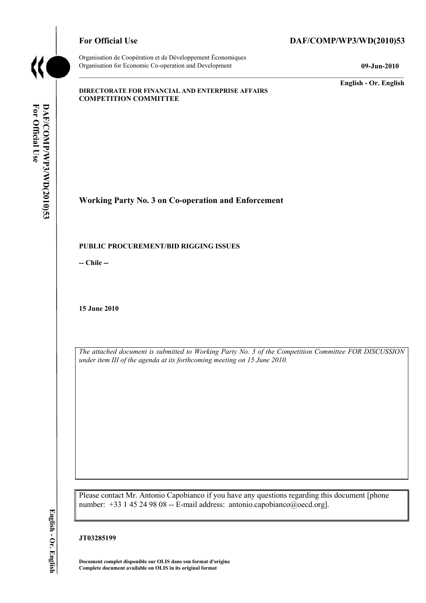

Organisation de Coopération et de Développement Économiques Organisation for Economic Co-operation and Development **09-Jun-2010** 

# For Official Use DAF/COMP/WP3/WD(2010)53

**English - Or. English** 

#### **DIRECTORATE FOR FINANCIAL AND ENTERPRISE AFFAIRS COMPETITION COMMITTEE**

**Working Party No. 3 on Co-operation and Enforcement** 

#### **PUBLIC PROCUREMENT/BID RIGGING ISSUES**

**-- Chile --** 

**15 June 2010** 

*The attached document is submitted to Working Party No. 3 of the Competition Committee FOR DISCUSSION under item III of the agenda at its forthcoming meeting on 15 June 2010.* 

Please contact Mr. Antonio Capobianco if you have any questions regarding this document [phone number: +33 1 45 24 98 08 -- E-mail address: antonio.capobianco@oecd.org].

**Document complet disponible sur OLIS dans son format d'origine Complete document available on OLIS in its original format** 

English - Or. English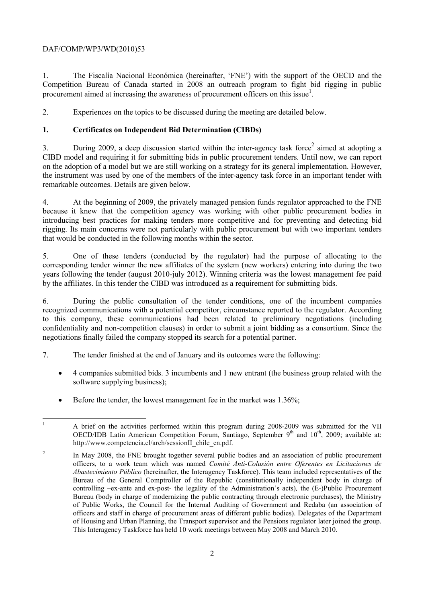# DAF/COMP/WP3/WD(2010)53

1. The Fiscalía Nacional Económica (hereinafter, 'FNE') with the support of the OECD and the Competition Bureau of Canada started in 2008 an outreach program to fight bid rigging in public procurement aimed at increasing the awareness of procurement officers on this issue<sup>1</sup>.

2. Experiences on the topics to be discussed during the meeting are detailed below.

## **1. Certificates on Independent Bid Determination (CIBDs)**

3. During 2009, a deep discussion started within the inter-agency task force<sup>2</sup> aimed at adopting a CIBD model and requiring it for submitting bids in public procurement tenders. Until now, we can report on the adoption of a model but we are still working on a strategy for its general implementation. However, the instrument was used by one of the members of the inter-agency task force in an important tender with remarkable outcomes. Details are given below.

4. At the beginning of 2009, the privately managed pension funds regulator approached to the FNE because it knew that the competition agency was working with other public procurement bodies in introducing best practices for making tenders more competitive and for preventing and detecting bid rigging. Its main concerns were not particularly with public procurement but with two important tenders that would be conducted in the following months within the sector.

5. One of these tenders (conducted by the regulator) had the purpose of allocating to the corresponding tender winner the new affiliates of the system (new workers) entering into during the two years following the tender (august 2010-july 2012). Winning criteria was the lowest management fee paid by the affiliates. In this tender the CIBD was introduced as a requirement for submitting bids.

6. During the public consultation of the tender conditions, one of the incumbent companies recognized communications with a potential competitor, circumstance reported to the regulator. According to this company, these communications had been related to preliminary negotiations (including confidentiality and non-competition clauses) in order to submit a joint bidding as a consortium. Since the negotiations finally failed the company stopped its search for a potential partner.

- 7. The tender finished at the end of January and its outcomes were the following:
	- 4 companies submitted bids. 3 incumbents and 1 new entrant (the business group related with the software supplying business);
	- Before the tender, the lowest management fee in the market was 1.36%;

<sup>|&</sup>lt;br>|<br>| A brief on the activities performed within this program during 2008-2009 was submitted for the VII OECD/IDB Latin American Competition Forum, Santiago, September  $9<sup>th</sup>$  and  $10<sup>th</sup>$ , 2009; available at: http://www.competencia.cl/arch/sessionII\_chile\_en.pdf.

 $\overline{\phantom{0}}$  In May 2008, the FNE brought together several public bodies and an association of public procurement officers, to a work team which was named *Comité Anti-Colusión entre Oferentes en Licitaciones de Abastecimiento Público* (hereinafter, the Interagency Taskforce). This team included representatives of the Bureau of the General Comptroller of the Republic (constitutionally independent body in charge of controlling –ex-ante and ex-post- the legality of the Administration's acts)*,* the (E-)Public Procurement Bureau (body in charge of modernizing the public contracting through electronic purchases), the Ministry of Public Works, the Council for the Internal Auditing of Government and Redaba (an association of officers and staff in charge of procurement areas of different public bodies). Delegates of the Department of Housing and Urban Planning, the Transport supervisor and the Pensions regulator later joined the group. This Interagency Taskforce has held 10 work meetings between May 2008 and March 2010.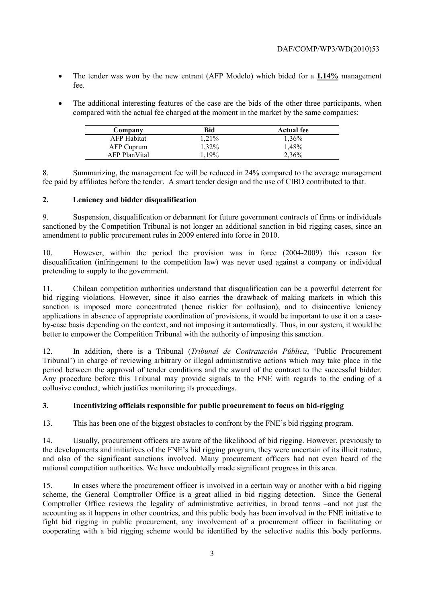- The tender was won by the new entrant (AFP Modelo) which bided for a **1.14%** management fee.
- The additional interesting features of the case are the bids of the other three participants, when compared with the actual fee charged at the moment in the market by the same companies:

| Company            | Bid   | <b>Actual fee</b> |
|--------------------|-------|-------------------|
| <b>AFP</b> Habitat | 1.21% | 1.36%             |
| AFP Cuprum         | 1.32% | 1.48%             |
| AFP PlanVital      | 1.19% | 2,36%             |

8. Summarizing, the management fee will be reduced in 24% compared to the average management fee paid by affiliates before the tender. A smart tender design and the use of CIBD contributed to that.

## **2. Leniency and bidder disqualification**

9. Suspension, disqualification or debarment for future government contracts of firms or individuals sanctioned by the Competition Tribunal is not longer an additional sanction in bid rigging cases, since an amendment to public procurement rules in 2009 entered into force in 2010.

10. However, within the period the provision was in force (2004-2009) this reason for disqualification (infringement to the competition law) was never used against a company or individual pretending to supply to the government.

11. Chilean competition authorities understand that disqualification can be a powerful deterrent for bid rigging violations. However, since it also carries the drawback of making markets in which this sanction is imposed more concentrated (hence riskier for collusion), and to disincentive leniency applications in absence of appropriate coordination of provisions, it would be important to use it on a caseby-case basis depending on the context, and not imposing it automatically. Thus, in our system, it would be better to empower the Competition Tribunal with the authority of imposing this sanction.

12. In addition, there is a Tribunal (*Tribunal de Contratación Pública*, 'Public Procurement Tribunal') in charge of reviewing arbitrary or illegal administrative actions which may take place in the period between the approval of tender conditions and the award of the contract to the successful bidder. Any procedure before this Tribunal may provide signals to the FNE with regards to the ending of a collusive conduct, which justifies monitoring its proceedings.

# **3. Incentivizing officials responsible for public procurement to focus on bid-rigging**

13. This has been one of the biggest obstacles to confront by the FNE's bid rigging program.

14. Usually, procurement officers are aware of the likelihood of bid rigging. However, previously to the developments and initiatives of the FNE's bid rigging program, they were uncertain of its illicit nature, and also of the significant sanctions involved. Many procurement officers had not even heard of the national competition authorities. We have undoubtedly made significant progress in this area.

15. In cases where the procurement officer is involved in a certain way or another with a bid rigging scheme, the General Comptroller Office is a great allied in bid rigging detection. Since the General Comptroller Office reviews the legality of administrative activities, in broad terms –and not just the accounting as it happens in other countries, and this public body has been involved in the FNE initiative to fight bid rigging in public procurement, any involvement of a procurement officer in facilitating or cooperating with a bid rigging scheme would be identified by the selective audits this body performs.